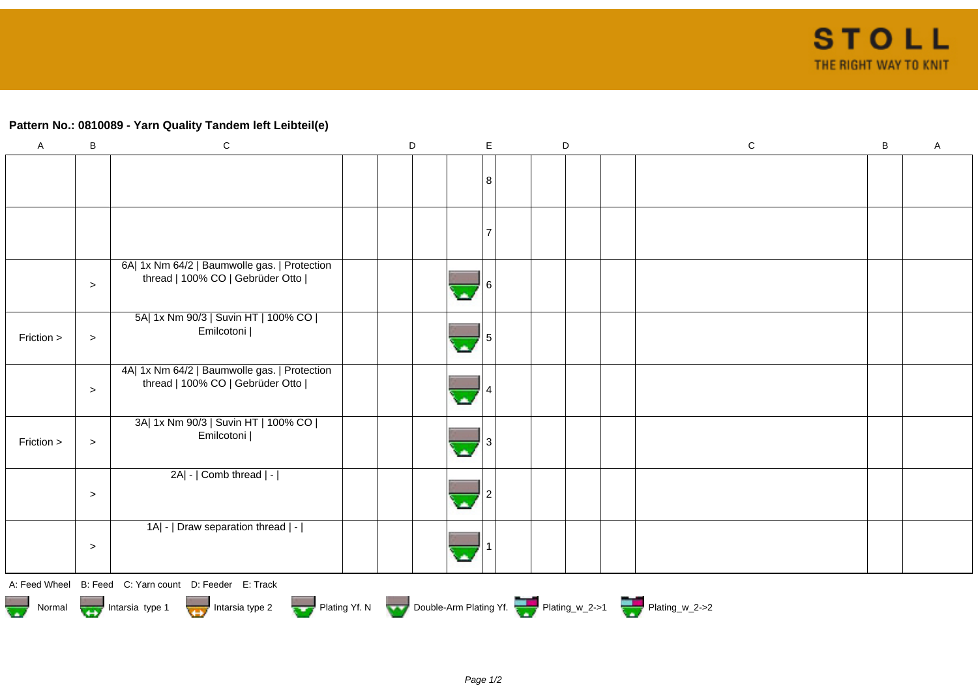## **Pattern No.: 0810089 - Yarn Quality Tandem left Leibteil(e)**

| A          | $\mathsf B$ | $\mathbf C$                                                                                                                                                                                                                                                                                                                        | $\mathsf D$ | $\mathsf E$    |  | D | ${\bf C}$ | $\sf B$ | Α |
|------------|-------------|------------------------------------------------------------------------------------------------------------------------------------------------------------------------------------------------------------------------------------------------------------------------------------------------------------------------------------|-------------|----------------|--|---|-----------|---------|---|
|            |             |                                                                                                                                                                                                                                                                                                                                    |             | 8              |  |   |           |         |   |
|            |             |                                                                                                                                                                                                                                                                                                                                    |             | $\overline{ }$ |  |   |           |         |   |
|            | $\geq$      | 6A  1x Nm 64/2   Baumwolle gas.   Protection<br>thread   100% CO   Gebrüder Otto                                                                                                                                                                                                                                                   |             |                |  |   |           |         |   |
| Friction > | $\,>$       | 5A  1x Nm 90/3   Suvin HT   100% CO  <br>Emilcotoni                                                                                                                                                                                                                                                                                |             |                |  |   |           |         |   |
|            | $\geq$      | 4A  1x Nm 64/2   Baumwolle gas.   Protection<br>thread   100% CO   Gebrüder Otto                                                                                                                                                                                                                                                   |             |                |  |   |           |         |   |
| Friction > | $\,>$       | 3A  1x Nm 90/3   Suvin HT   100% CO  <br>Emilcotoni                                                                                                                                                                                                                                                                                |             |                |  |   |           |         |   |
|            | $\geq$      | 2A  -   Comb thread   -                                                                                                                                                                                                                                                                                                            |             |                |  |   |           |         |   |
|            | $\geq$      | 1A  -   Draw separation thread   -                                                                                                                                                                                                                                                                                                 |             |                |  |   |           |         |   |
|            |             | $\mathbf{A}$ $\mathbf{F}$ $\mathbf{A}$ $\mathbf{A}$ $\mathbf{B}$ $\mathbf{F}$ $\mathbf{A}$ $\mathbf{A}$ $\mathbf{A}$ $\mathbf{A}$ $\mathbf{A}$ $\mathbf{A}$ $\mathbf{B}$ $\mathbf{F}$ $\mathbf{A}$ $\mathbf{A}$ $\mathbf{B}$ $\mathbf{F}$ $\mathbf{A}$ $\mathbf{A}$ $\mathbf{A}$ $\mathbf{A}$ $\mathbf{A}$ $\mathbf{A}$ $\mathbf{$ |             |                |  |   |           |         |   |

A: Feed Wheel B: Feed C: Yarn count D: Feeder E: Track